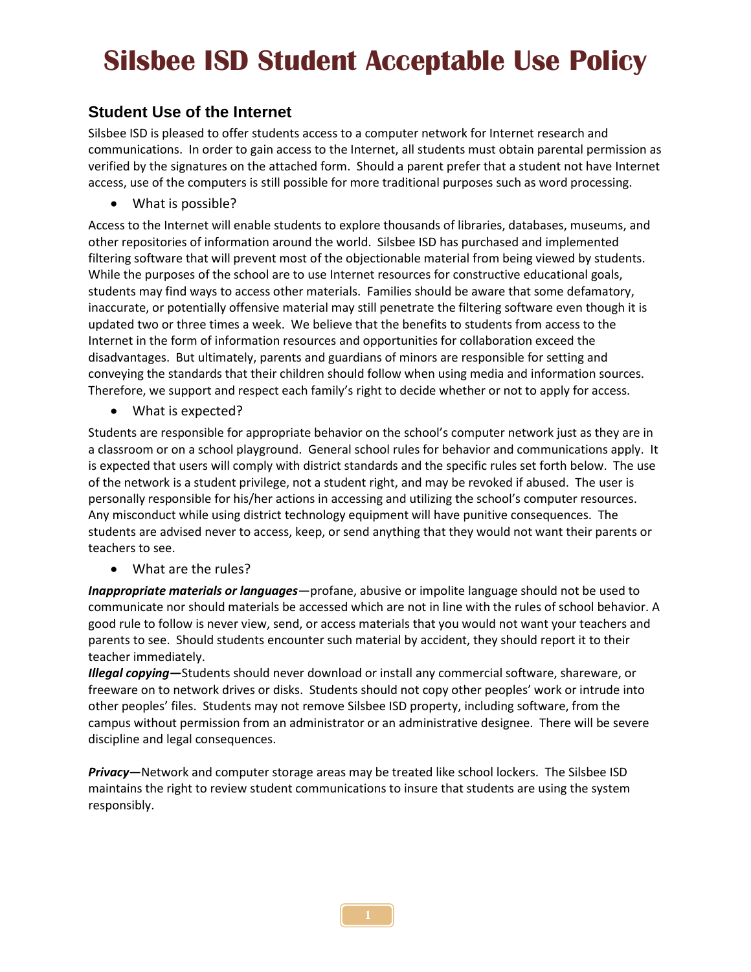# **Silsbee ISD Student Acceptable Use Policy**

### **Student Use of the Internet**

Silsbee ISD is pleased to offer students access to a computer network for Internet research and communications. In order to gain access to the Internet, all students must obtain parental permission as verified by the signatures on the attached form. Should a parent prefer that a student not have Internet access, use of the computers is still possible for more traditional purposes such as word processing.

• What is possible?

Access to the Internet will enable students to explore thousands of libraries, databases, museums, and other repositories of information around the world. Silsbee ISD has purchased and implemented filtering software that will prevent most of the objectionable material from being viewed by students. While the purposes of the school are to use Internet resources for constructive educational goals, students may find ways to access other materials. Families should be aware that some defamatory, inaccurate, or potentially offensive material may still penetrate the filtering software even though it is updated two or three times a week. We believe that the benefits to students from access to the Internet in the form of information resources and opportunities for collaboration exceed the disadvantages. But ultimately, parents and guardians of minors are responsible for setting and conveying the standards that their children should follow when using media and information sources. Therefore, we support and respect each family's right to decide whether or not to apply for access.

• What is expected?

Students are responsible for appropriate behavior on the school's computer network just as they are in a classroom or on a school playground. General school rules for behavior and communications apply. It is expected that users will comply with district standards and the specific rules set forth below. The use of the network is a student privilege, not a student right, and may be revoked if abused. The user is personally responsible for his/her actions in accessing and utilizing the school's computer resources. Any misconduct while using district technology equipment will have punitive consequences. The students are advised never to access, keep, or send anything that they would not want their parents or teachers to see.

What are the rules?

*Inappropriate materials or languages*—profane, abusive or impolite language should not be used to communicate nor should materials be accessed which are not in line with the rules of school behavior. A good rule to follow is never view, send, or access materials that you would not want your teachers and parents to see. Should students encounter such material by accident, they should report it to their teacher immediately.

*Illegal copying***—**Students should never download or install any commercial software, shareware, or freeware on to network drives or disks. Students should not copy other peoples' work or intrude into other peoples' files. Students may not remove Silsbee ISD property, including software, from the campus without permission from an administrator or an administrative designee. There will be severe discipline and legal consequences.

*Privacy***—**Network and computer storage areas may be treated like school lockers. The Silsbee ISD maintains the right to review student communications to insure that students are using the system responsibly.